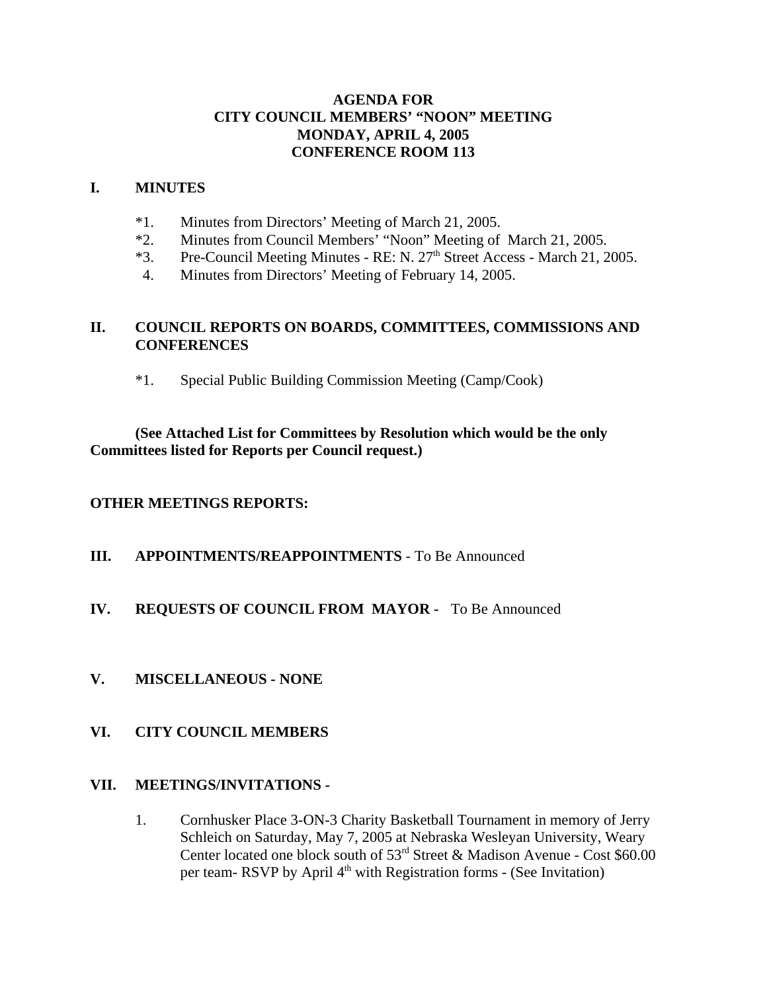### **AGENDA FOR CITY COUNCIL MEMBERS' "NOON" MEETING MONDAY, APRIL 4, 2005 CONFERENCE ROOM 113**

#### **I. MINUTES**

- \*1. Minutes from Directors' Meeting of March 21, 2005.
- \*2. Minutes from Council Members' "Noon" Meeting of March 21, 2005.
- $*3.$  Pre-Council Meeting Minutes RE: N. 27<sup>th</sup> Street Access March 21, 2005.
- 4. Minutes from Directors' Meeting of February 14, 2005.

### **II. COUNCIL REPORTS ON BOARDS, COMMITTEES, COMMISSIONS AND CONFERENCES**

\*1. Special Public Building Commission Meeting (Camp/Cook)

### **(See Attached List for Committees by Resolution which would be the only Committees listed for Reports per Council request.)**

### **OTHER MEETINGS REPORTS:**

**III. APPOINTMENTS/REAPPOINTMENTS** - To Be Announced

### **IV. REQUESTS OF COUNCIL FROM MAYOR -** To Be Announced

### **V. MISCELLANEOUS - NONE**

### **VI. CITY COUNCIL MEMBERS**

### **VII. MEETINGS/INVITATIONS -**

1. Cornhusker Place 3-ON-3 Charity Basketball Tournament in memory of Jerry Schleich on Saturday, May 7, 2005 at Nebraska Wesleyan University, Weary Center located one block south of 53rd Street & Madison Avenue - Cost \$60.00 per team- RSVP by April 4<sup>th</sup> with Registration forms - (See Invitation)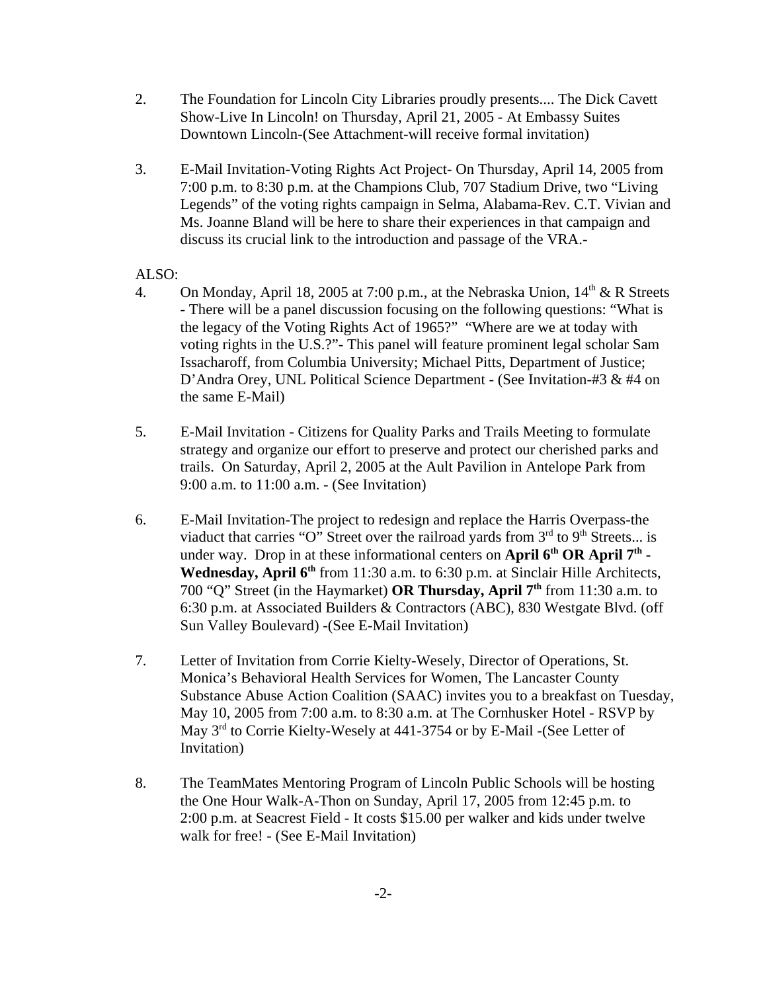- 2. The Foundation for Lincoln City Libraries proudly presents.... The Dick Cavett Show-Live In Lincoln! on Thursday, April 21, 2005 - At Embassy Suites Downtown Lincoln-(See Attachment-will receive formal invitation)
- 3. E-Mail Invitation-Voting Rights Act Project- On Thursday, April 14, 2005 from 7:00 p.m. to 8:30 p.m. at the Champions Club, 707 Stadium Drive, two "Living Legends" of the voting rights campaign in Selma, Alabama-Rev. C.T. Vivian and Ms. Joanne Bland will be here to share their experiences in that campaign and discuss its crucial link to the introduction and passage of the VRA.-

#### ALSO:

- 4. On Monday, April 18, 2005 at 7:00 p.m., at the Nebraska Union,  $14<sup>th</sup> \& R$  Streets - There will be a panel discussion focusing on the following questions: "What is the legacy of the Voting Rights Act of 1965?" "Where are we at today with voting rights in the U.S.?"- This panel will feature prominent legal scholar Sam Issacharoff, from Columbia University; Michael Pitts, Department of Justice; D'Andra Orey, UNL Political Science Department - (See Invitation-#3 & #4 on the same E-Mail)
- 5. E-Mail Invitation Citizens for Quality Parks and Trails Meeting to formulate strategy and organize our effort to preserve and protect our cherished parks and trails. On Saturday, April 2, 2005 at the Ault Pavilion in Antelope Park from 9:00 a.m. to 11:00 a.m. - (See Invitation)
- 6. E-Mail Invitation-The project to redesign and replace the Harris Overpass-the viaduct that carries "O" Street over the railroad yards from  $3<sup>rd</sup>$  to  $9<sup>th</sup>$  Streets... is under way. Drop in at these informational centers on **April 6<sup>th</sup> OR April 7<sup>th</sup>** -Wednesday, April 6<sup>th</sup> from 11:30 a.m. to 6:30 p.m. at Sinclair Hille Architects, 700 "Q" Street (in the Haymarket) **OR Thursday, April 7th** from 11:30 a.m. to 6:30 p.m. at Associated Builders & Contractors (ABC), 830 Westgate Blvd. (off Sun Valley Boulevard) -(See E-Mail Invitation)
- 7. Letter of Invitation from Corrie Kielty-Wesely, Director of Operations, St. Monica's Behavioral Health Services for Women, The Lancaster County Substance Abuse Action Coalition (SAAC) invites you to a breakfast on Tuesday, May 10, 2005 from 7:00 a.m. to 8:30 a.m. at The Cornhusker Hotel - RSVP by May 3rd to Corrie Kielty-Wesely at 441-3754 or by E-Mail -(See Letter of Invitation)
- 8. The TeamMates Mentoring Program of Lincoln Public Schools will be hosting the One Hour Walk-A-Thon on Sunday, April 17, 2005 from 12:45 p.m. to 2:00 p.m. at Seacrest Field - It costs \$15.00 per walker and kids under twelve walk for free! - (See E-Mail Invitation)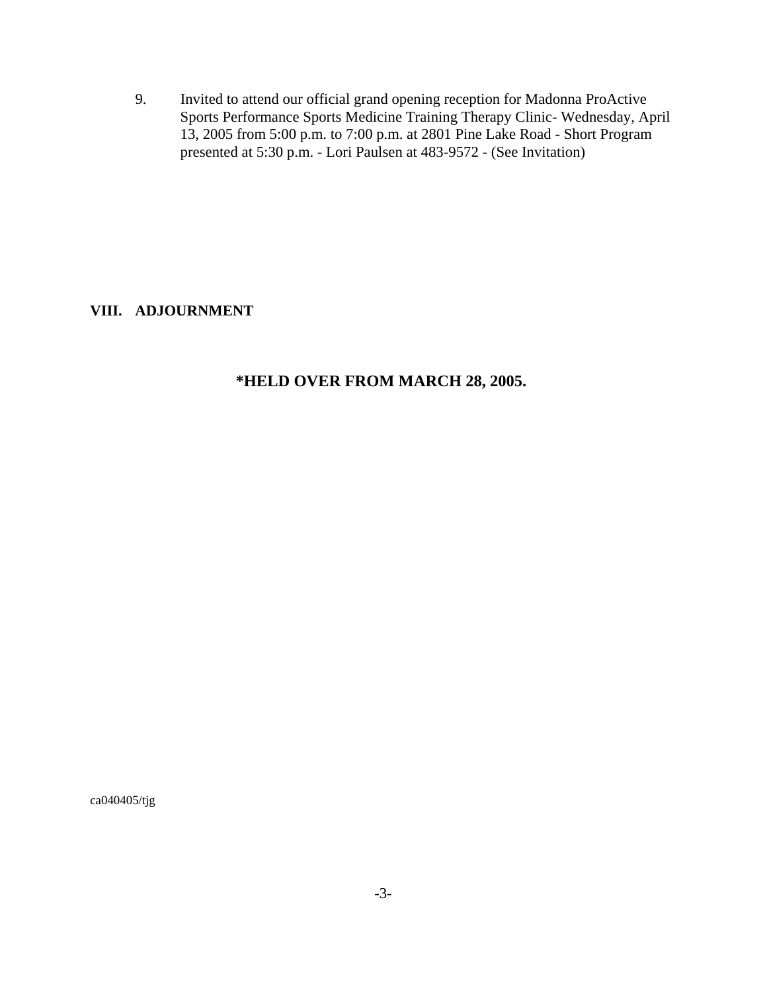9. Invited to attend our official grand opening reception for Madonna ProActive Sports Performance Sports Medicine Training Therapy Clinic- Wednesday, April 13, 2005 from 5:00 p.m. to 7:00 p.m. at 2801 Pine Lake Road - Short Program presented at 5:30 p.m. - Lori Paulsen at 483-9572 - (See Invitation)

**VIII. ADJOURNMENT**

# **\*HELD OVER FROM MARCH 28, 2005.**

ca040405/tjg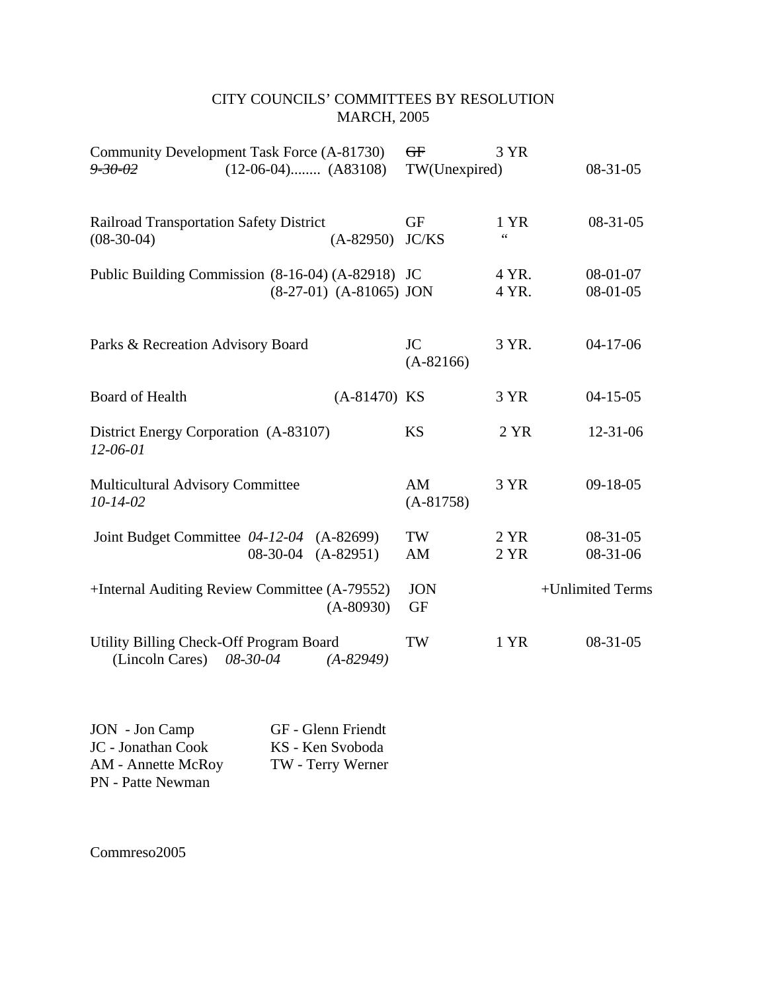# CITY COUNCILS' COMMITTEES BY RESOLUTION MARCH, 2005

| Community Development Task Force (A-81730)<br>$(12-06-04)$ $(A83108)$<br>$9 - 30 - 02$  | $\overline{GF}$<br>TW(Unexpired) | 3 YR                    | $08-31-05$             |
|-----------------------------------------------------------------------------------------|----------------------------------|-------------------------|------------------------|
| <b>Railroad Transportation Safety District</b><br>$(08-30-04)$<br>$(A-82950)$           | <b>GF</b><br>JC/KS               | 1 YR<br>$\zeta$ $\zeta$ | $08-31-05$             |
| Public Building Commission (8-16-04) (A-82918) JC<br>$(8-27-01)$ $(A-81065)$ JON        |                                  | 4 YR.<br>4 YR.          | 08-01-07<br>$08-01-05$ |
| Parks & Recreation Advisory Board                                                       | <b>JC</b><br>$(A-82166)$         | 3 YR.                   | $04-17-06$             |
| Board of Health<br>$(A-81470)$ KS                                                       |                                  | 3 YR                    | $04 - 15 - 05$         |
| District Energy Corporation (A-83107)<br>$12 - 06 - 01$                                 | <b>KS</b>                        | 2 YR                    | $12 - 31 - 06$         |
| Multicultural Advisory Committee<br>$10 - 14 - 02$                                      | AM<br>$(A-81758)$                | 3 YR                    | $09-18-05$             |
| Joint Budget Committee 04-12-04 (A-82699)<br>08-30-04 (A-82951)                         | TW<br>AM                         | 2 YR<br>2 YR            | $08-31-05$<br>08-31-06 |
| +Internal Auditing Review Committee (A-79552)<br>$(A-80930)$                            | <b>JON</b><br><b>GF</b>          |                         | +Unlimited Terms       |
| Utility Billing Check-Off Program Board<br>(Lincoln Cares)<br>08-30-04<br>$(A - 82949)$ | TW                               | 1 YR                    | $08-31-05$             |

| JON - Jon Camp           | GF - Glenn Friendt |
|--------------------------|--------------------|
| JC - Jonathan Cook       | KS - Ken Svoboda   |
| AM - Annette McRoy       | TW - Terry Werner  |
| <b>PN</b> - Patte Newman |                    |

Commreso2005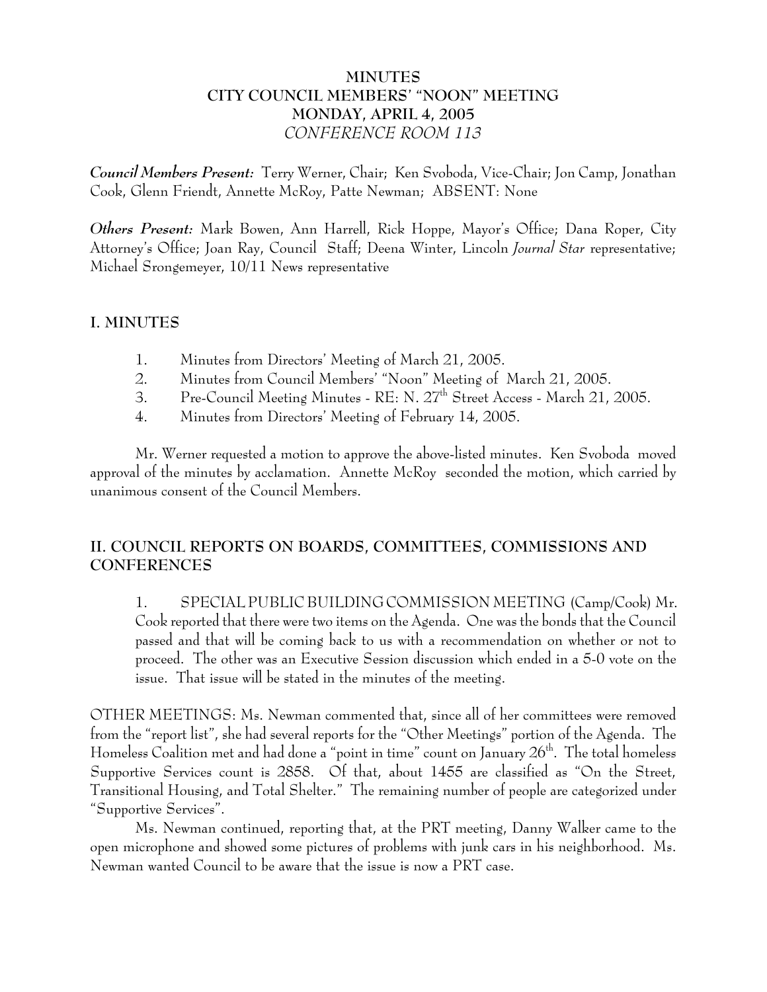# **MINUTES CITY COUNCIL MEMBERS' "NOON" MEETING MONDAY, APRIL 4, 2005** *CONFERENCE ROOM 113*

*Council Members Present:* Terry Werner, Chair; Ken Svoboda, Vice-Chair; Jon Camp, Jonathan Cook, Glenn Friendt, Annette McRoy, Patte Newman; ABSENT: None

*Others Present:* Mark Bowen, Ann Harrell, Rick Hoppe, Mayor's Office; Dana Roper, City Attorney's Office; Joan Ray, Council Staff; Deena Winter, Lincoln *Journal Star* representative; Michael Srongemeyer, 10/11 News representative

## **I. MINUTES**

- 1. Minutes from Directors' Meeting of March 21, 2005.
- 2. Minutes from Council Members' "Noon" Meeting of March 21, 2005.
- 3. Pre-Council Meeting Minutes RE: N. 27<sup>th</sup> Street Access March 21, 2005.
- 4. Minutes from Directors' Meeting of February 14, 2005.

Mr. Werner requested a motion to approve the above-listed minutes. Ken Svoboda moved approval of the minutes by acclamation. Annette McRoy seconded the motion, which carried by unanimous consent of the Council Members.

# **II. COUNCIL REPORTS ON BOARDS, COMMITTEES, COMMISSIONS AND CONFERENCES**

1. SPECIAL PUBLIC BUILDING COMMISSION MEETING (Camp/Cook) Mr. Cook reported that there were two items on the Agenda. One was the bonds that the Council passed and that will be coming back to us with a recommendation on whether or not to proceed. The other was an Executive Session discussion which ended in a 5-0 vote on the issue. That issue will be stated in the minutes of the meeting.

OTHER MEETINGS: Ms. Newman commented that, since all of her committees were removed from the "report list", she had several reports for the "Other Meetings" portion of the Agenda. The Homeless Coalition met and had done a "point in time" count on January  $26<sup>th</sup>$ . The total homeless Supportive Services count is 2858. Of that, about 1455 are classified as "On the Street, Transitional Housing, and Total Shelter." The remaining number of people are categorized under "Supportive Services".

Ms. Newman continued, reporting that, at the PRT meeting, Danny Walker came to the open microphone and showed some pictures of problems with junk cars in his neighborhood. Ms. Newman wanted Council to be aware that the issue is now a PRT case.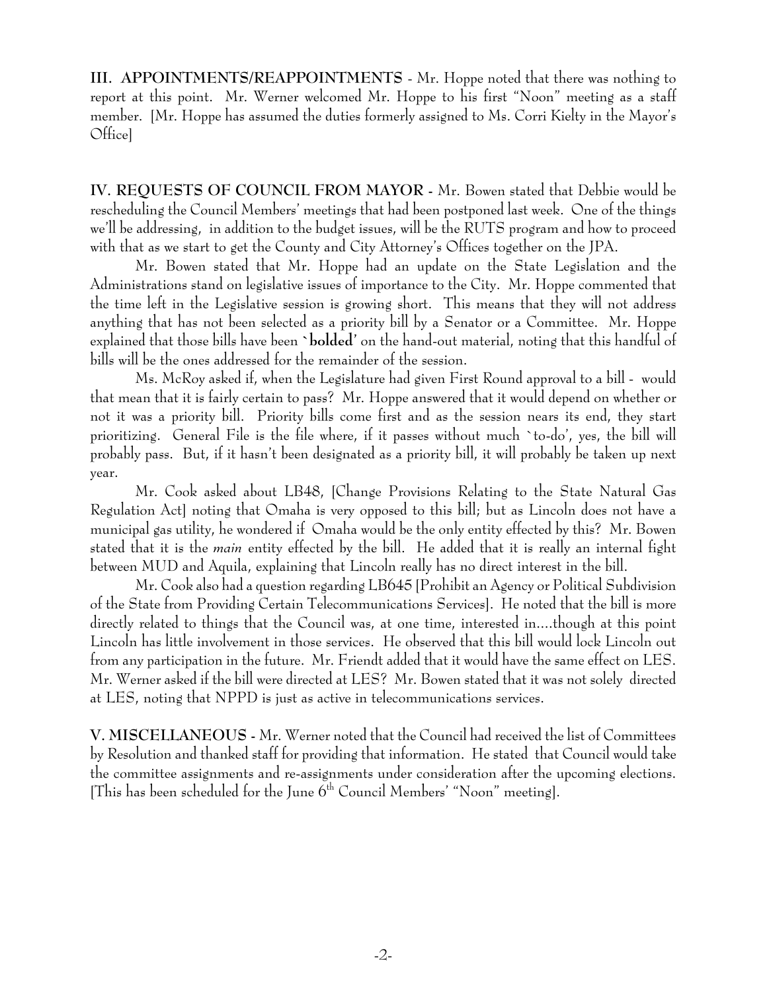**III. APPOINTMENTS/REAPPOINTMENTS** - Mr. Hoppe noted that there was nothing to report at this point. Mr. Werner welcomed Mr. Hoppe to his first "Noon" meeting as a staff member. [Mr. Hoppe has assumed the duties formerly assigned to Ms. Corri Kielty in the Mayor's Office]

**IV. REQUESTS OF COUNCIL FROM MAYOR -** Mr. Bowen stated that Debbie would be rescheduling the Council Members' meetings that had been postponed last week. One of the things we'll be addressing, in addition to the budget issues, will be the RUTS program and how to proceed with that as we start to get the County and City Attorney's Offices together on the JPA.

Mr. Bowen stated that Mr. Hoppe had an update on the State Legislation and the Administrations stand on legislative issues of importance to the City. Mr. Hoppe commented that the time left in the Legislative session is growing short. This means that they will not address anything that has not been selected as a priority bill by a Senator or a Committee. Mr. Hoppe explained that those bills have been **`bolded'** on the hand-out material, noting that this handful of bills will be the ones addressed for the remainder of the session.

Ms. McRoy asked if, when the Legislature had given First Round approval to a bill - would that mean that it is fairly certain to pass? Mr. Hoppe answered that it would depend on whether or not it was a priority bill. Priority bills come first and as the session nears its end, they start prioritizing. General File is the file where, if it passes without much `to-do', yes, the bill will probably pass. But, if it hasn't been designated as a priority bill, it will probably be taken up next year.

Mr. Cook asked about LB48, [Change Provisions Relating to the State Natural Gas Regulation Act] noting that Omaha is very opposed to this bill; but as Lincoln does not have a municipal gas utility, he wondered if Omaha would be the only entity effected by this? Mr. Bowen stated that it is the *main* entity effected by the bill. He added that it is really an internal fight between MUD and Aquila, explaining that Lincoln really has no direct interest in the bill.

Mr. Cook also had a question regarding LB645 [Prohibit an Agency or Political Subdivision of the State from Providing Certain Telecommunications Services]. He noted that the bill is more directly related to things that the Council was, at one time, interested in....though at this point Lincoln has little involvement in those services. He observed that this bill would lock Lincoln out from any participation in the future. Mr. Friendt added that it would have the same effect on LES. Mr. Werner asked if the bill were directed at LES? Mr. Bowen stated that it was not solely directed at LES, noting that NPPD is just as active in telecommunications services.

**V. MISCELLANEOUS -** Mr. Werner noted that the Council had received the list of Committees by Resolution and thanked staff for providing that information. He stated that Council would take the committee assignments and re-assignments under consideration after the upcoming elections. [This has been scheduled for the June  $6<sup>th</sup>$  Council Members' "Noon" meeting].